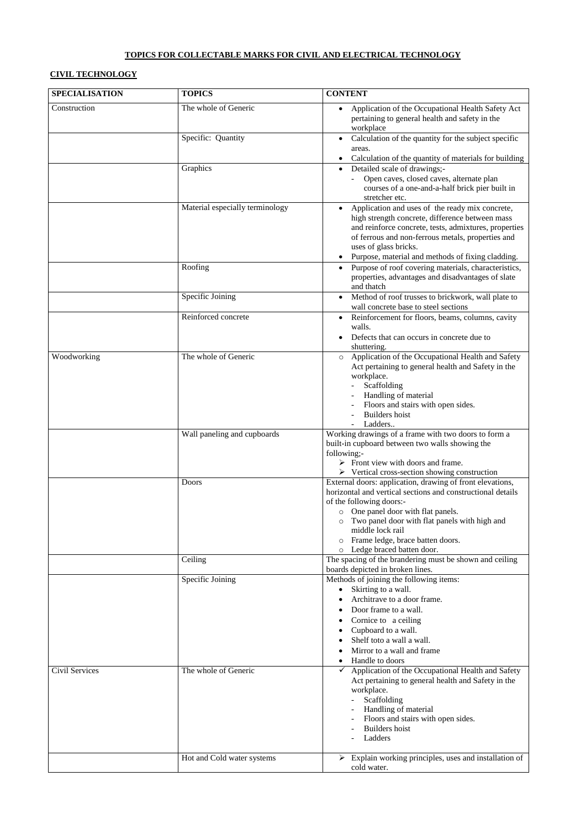## **TOPICS FOR COLLECTABLE MARKS FOR CIVIL AND ELECTRICAL TECHNOLOGY**

| <b>SPECIALISATION</b> | <b>TOPICS</b>                   | <b>CONTENT</b>                                                                                                                                                                                                                                                                                                                   |
|-----------------------|---------------------------------|----------------------------------------------------------------------------------------------------------------------------------------------------------------------------------------------------------------------------------------------------------------------------------------------------------------------------------|
| Construction          | The whole of Generic            | Application of the Occupational Health Safety Act<br>pertaining to general health and safety in the<br>workplace                                                                                                                                                                                                                 |
|                       | Specific: Quantity              | Calculation of the quantity for the subject specific<br>$\bullet$<br>areas.<br>Calculation of the quantity of materials for building                                                                                                                                                                                             |
|                       | Graphics                        | Detailed scale of drawings;-<br>$\bullet$<br>Open caves, closed caves, alternate plan<br>courses of a one-and-a-half brick pier built in<br>stretcher etc.                                                                                                                                                                       |
|                       | Material especially terminology | Application and uses of the ready mix concrete,<br>$\bullet$<br>high strength concrete, difference between mass<br>and reinforce concrete, tests, admixtures, properties<br>of ferrous and non-ferrous metals, properties and<br>uses of glass bricks.<br>Purpose, material and methods of fixing cladding.                      |
|                       | Roofing                         | Purpose of roof covering materials, characteristics,<br>$\bullet$<br>properties, advantages and disadvantages of slate<br>and thatch                                                                                                                                                                                             |
|                       | Specific Joining                | Method of roof trusses to brickwork, wall plate to<br>wall concrete base to steel sections                                                                                                                                                                                                                                       |
|                       | Reinforced concrete             | Reinforcement for floors, beams, columns, cavity<br>walls.<br>Defects that can occurs in concrete due to<br>shuttering.                                                                                                                                                                                                          |
| Woodworking           | The whole of Generic            | Application of the Occupational Health and Safety<br>$\circ$<br>Act pertaining to general health and Safety in the<br>workplace.<br>Scaffolding<br>Handling of material<br>Floors and stairs with open sides.<br><b>Builders</b> hoist<br>Ladders                                                                                |
|                       | Wall paneling and cupboards     | Working drawings of a frame with two doors to form a<br>built-in cupboard between two walls showing the<br>following;-<br>$\triangleright$ Front view with doors and frame.<br>Vertical cross-section showing construction                                                                                                       |
|                       | Doors                           | External doors: application, drawing of front elevations,<br>horizontal and vertical sections and constructional details<br>of the following doors:-<br>o One panel door with flat panels.<br>Two panel door with flat panels with high and<br>middle lock rail<br>Frame ledge, brace batten doors.<br>Ledge braced batten door. |
|                       | Ceiling                         | The spacing of the brandering must be shown and ceiling<br>boards depicted in broken lines.                                                                                                                                                                                                                                      |
|                       | Specific Joining                | Methods of joining the following items:<br>Skirting to a wall.<br>$\bullet$<br>Architrave to a door frame.<br>Door frame to a wall.<br>Cornice to a ceiling                                                                                                                                                                      |

## **CIVIL TECHNOLOGY**

|                |                            | • Cupboard to a wall.<br>Shelf toto a wall a wall.<br>$\bullet$<br>Mirror to a wall and frame<br>$\bullet$<br>Handle to doors<br>$\bullet$                                                                                                                                                                                                                      |
|----------------|----------------------------|-----------------------------------------------------------------------------------------------------------------------------------------------------------------------------------------------------------------------------------------------------------------------------------------------------------------------------------------------------------------|
| Civil Services | The whole of Generic       | Application of the Occupational Health and Safety<br>$\checkmark$<br>Act pertaining to general health and Safety in the<br>workplace.<br>Scaffolding<br>$\overline{\phantom{0}}$<br>Handling of material<br>$\overline{\phantom{0}}$<br>Floors and stairs with open sides.<br>Builders hoist<br>$\overline{\phantom{0}}$<br>Ladders<br>$\overline{\phantom{0}}$ |
|                | Hot and Cold water systems | $\triangleright$ Explain working principles, uses and installation of<br>cold water.                                                                                                                                                                                                                                                                            |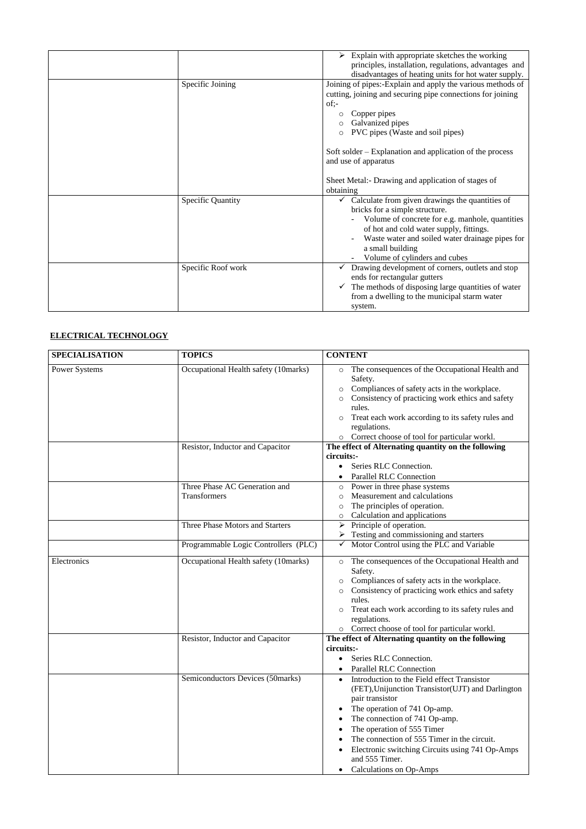|                          | Explain with appropriate sketches the working<br>principles, installation, regulations, advantages and<br>disadvantages of heating units for hot water supply.                                                                                                                          |
|--------------------------|-----------------------------------------------------------------------------------------------------------------------------------------------------------------------------------------------------------------------------------------------------------------------------------------|
| Specific Joining         | Joining of pipes:-Explain and apply the various methods of<br>cutting, joining and securing pipe connections for joining<br>$of:-$<br>Copper pipes<br>$\circ$<br>Galvanized pipes<br>PVC pipes (Waste and soil pipes)<br>$\circ$                                                        |
|                          | Soft solder – Explanation and application of the process<br>and use of apparatus<br>Sheet Metal:- Drawing and application of stages of<br>obtaining                                                                                                                                     |
| <b>Specific Quantity</b> | Calculate from given drawings the quantities of<br>bricks for a simple structure.<br>Volume of concrete for e.g. manhole, quantities<br>of hot and cold water supply, fittings.<br>Waste water and soiled water drainage pipes for<br>a small building<br>Volume of cylinders and cubes |
| Specific Roof work       | Drawing development of corners, outlets and stop<br>ends for rectangular gutters<br>The methods of disposing large quantities of water<br>from a dwelling to the municipal starm water<br>system.                                                                                       |

## **ELECTRICAL TECHNOLOGY**

| <b>SPECIALISATION</b> | <b>TOPICS</b>                        | <b>CONTENT</b>                                                                                                                                                                                                                                                                                                                                                                                                                        |
|-----------------------|--------------------------------------|---------------------------------------------------------------------------------------------------------------------------------------------------------------------------------------------------------------------------------------------------------------------------------------------------------------------------------------------------------------------------------------------------------------------------------------|
| <b>Power Systems</b>  | Occupational Health safety (10marks) | The consequences of the Occupational Health and<br>$\circ$<br>Safety.<br>Compliances of safety acts in the workplace.<br>$\circ$<br>Consistency of practicing work ethics and safety<br>rules.<br>Treat each work according to its safety rules and<br>$\circ$<br>regulations.<br>Correct choose of tool for particular workl.                                                                                                        |
|                       | Resistor, Inductor and Capacitor     | The effect of Alternating quantity on the following                                                                                                                                                                                                                                                                                                                                                                                   |
|                       |                                      | circuits:-                                                                                                                                                                                                                                                                                                                                                                                                                            |
|                       |                                      | Series RLC Connection.                                                                                                                                                                                                                                                                                                                                                                                                                |
|                       |                                      | <b>Parallel RLC Connection</b><br>$\bullet$                                                                                                                                                                                                                                                                                                                                                                                           |
|                       | Three Phase AC Generation and        | Power in three phase systems<br>$\circ$                                                                                                                                                                                                                                                                                                                                                                                               |
|                       | Transformers                         | Measurement and calculations                                                                                                                                                                                                                                                                                                                                                                                                          |
|                       |                                      | The principles of operation.<br>$\circ$<br>Calculation and applications                                                                                                                                                                                                                                                                                                                                                               |
|                       | Three Phase Motors and Starters      | $\circ$<br>Principle of operation.<br>≻                                                                                                                                                                                                                                                                                                                                                                                               |
|                       |                                      | Testing and commissioning and starters                                                                                                                                                                                                                                                                                                                                                                                                |
|                       | Programmable Logic Controllers (PLC) | Motor Control using the PLC and Variable<br>$\checkmark$                                                                                                                                                                                                                                                                                                                                                                              |
| Electronics           | Occupational Health safety (10marks) | The consequences of the Occupational Health and<br>$\circ$<br>Safety.<br>Compliances of safety acts in the workplace.<br>Consistency of practicing work ethics and safety<br>rules.<br>Treat each work according to its safety rules and<br>$\circ$<br>regulations.<br>Correct choose of tool for particular workl.                                                                                                                   |
|                       | Resistor, Inductor and Capacitor     | The effect of Alternating quantity on the following                                                                                                                                                                                                                                                                                                                                                                                   |
|                       |                                      | circuits:-                                                                                                                                                                                                                                                                                                                                                                                                                            |
|                       |                                      | Series RLC Connection.<br>$\bullet$                                                                                                                                                                                                                                                                                                                                                                                                   |
|                       | Semiconductors Devices (50marks)     | <b>Parallel RLC Connection</b><br>$\bullet$<br>Introduction to the Field effect Transistor<br>(FET), Unijunction Transistor (UJT) and Darlington<br>pair transistor<br>The operation of 741 Op-amp.<br>The connection of 741 Op-amp.<br>$\bullet$<br>The operation of 555 Timer<br>The connection of 555 Timer in the circuit.<br>Electronic switching Circuits using 741 Op-Amps<br>and 555 Timer.<br><b>Calculations on Op-Amps</b> |